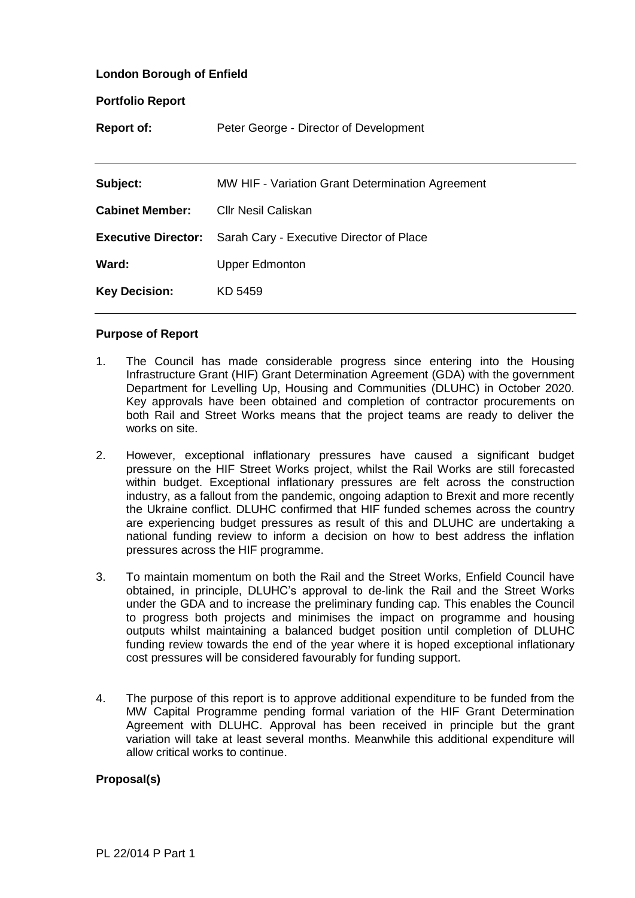## **London Borough of Enfield**

| <b>Portfolio Report</b>    |                                                  |
|----------------------------|--------------------------------------------------|
| <b>Report of:</b>          | Peter George - Director of Development           |
|                            |                                                  |
| Subject:                   | MW HIF - Variation Grant Determination Agreement |
| <b>Cabinet Member:</b>     | <b>CIIr Nesil Caliskan</b>                       |
| <b>Executive Director:</b> | Sarah Cary - Executive Director of Place         |
| Ward:                      | <b>Upper Edmonton</b>                            |
| <b>Key Decision:</b>       | KD 5459                                          |
|                            |                                                  |

## **Purpose of Report**

- 1. The Council has made considerable progress since entering into the Housing Infrastructure Grant (HIF) Grant Determination Agreement (GDA) with the government Department for Levelling Up, Housing and Communities (DLUHC) in October 2020. Key approvals have been obtained and completion of contractor procurements on both Rail and Street Works means that the project teams are ready to deliver the works on site.
- 2. However, exceptional inflationary pressures have caused a significant budget pressure on the HIF Street Works project, whilst the Rail Works are still forecasted within budget. Exceptional inflationary pressures are felt across the construction industry, as a fallout from the pandemic, ongoing adaption to Brexit and more recently the Ukraine conflict. DLUHC confirmed that HIF funded schemes across the country are experiencing budget pressures as result of this and DLUHC are undertaking a national funding review to inform a decision on how to best address the inflation pressures across the HIF programme.
- 3. To maintain momentum on both the Rail and the Street Works, Enfield Council have obtained, in principle, DLUHC's approval to de-link the Rail and the Street Works under the GDA and to increase the preliminary funding cap. This enables the Council to progress both projects and minimises the impact on programme and housing outputs whilst maintaining a balanced budget position until completion of DLUHC funding review towards the end of the year where it is hoped exceptional inflationary cost pressures will be considered favourably for funding support.
- 4. The purpose of this report is to approve additional expenditure to be funded from the MW Capital Programme pending formal variation of the HIF Grant Determination Agreement with DLUHC. Approval has been received in principle but the grant variation will take at least several months. Meanwhile this additional expenditure will allow critical works to continue.

### **Proposal(s)**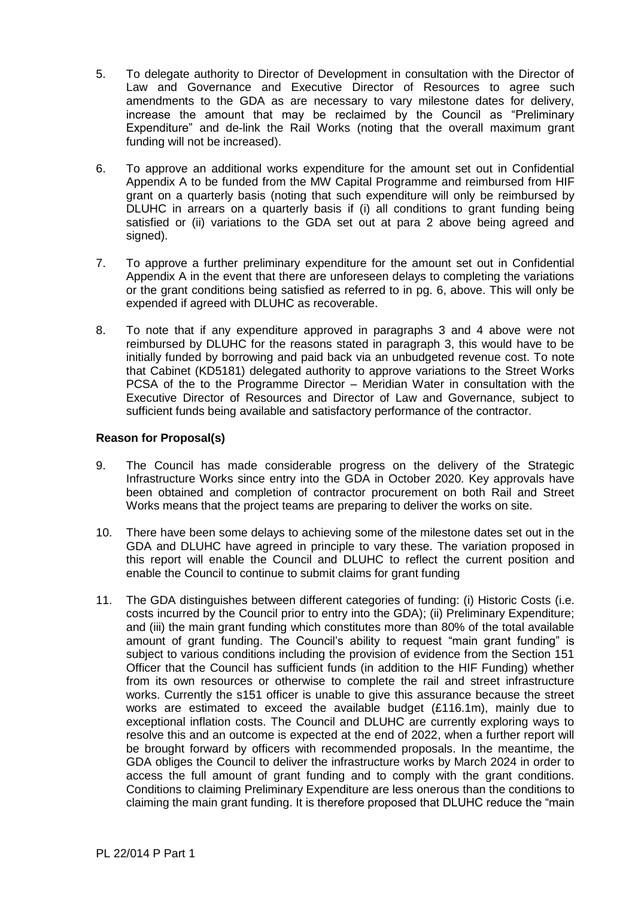- 5. To delegate authority to Director of Development in consultation with the Director of Law and Governance and Executive Director of Resources to agree such amendments to the GDA as are necessary to vary milestone dates for delivery, increase the amount that may be reclaimed by the Council as "Preliminary Expenditure" and de-link the Rail Works (noting that the overall maximum grant funding will not be increased).
- 6. To approve an additional works expenditure for the amount set out in Confidential Appendix A to be funded from the MW Capital Programme and reimbursed from HIF grant on a quarterly basis (noting that such expenditure will only be reimbursed by DLUHC in arrears on a quarterly basis if (i) all conditions to grant funding being satisfied or (ii) variations to the GDA set out at para 2 above being agreed and signed).
- 7. To approve a further preliminary expenditure for the amount set out in Confidential Appendix A in the event that there are unforeseen delays to completing the variations or the grant conditions being satisfied as referred to in pg. 6, above. This will only be expended if agreed with DLUHC as recoverable.
- 8. To note that if any expenditure approved in paragraphs 3 and 4 above were not reimbursed by DLUHC for the reasons stated in paragraph 3, this would have to be initially funded by borrowing and paid back via an unbudgeted revenue cost. To note that Cabinet (KD5181) delegated authority to approve variations to the Street Works PCSA of the to the Programme Director – Meridian Water in consultation with the Executive Director of Resources and Director of Law and Governance, subject to sufficient funds being available and satisfactory performance of the contractor.

# **Reason for Proposal(s)**

- 9. The Council has made considerable progress on the delivery of the Strategic Infrastructure Works since entry into the GDA in October 2020. Key approvals have been obtained and completion of contractor procurement on both Rail and Street Works means that the project teams are preparing to deliver the works on site.
- 10. There have been some delays to achieving some of the milestone dates set out in the GDA and DLUHC have agreed in principle to vary these. The variation proposed in this report will enable the Council and DLUHC to reflect the current position and enable the Council to continue to submit claims for grant funding
- 11. The GDA distinguishes between different categories of funding: (i) Historic Costs (i.e. costs incurred by the Council prior to entry into the GDA); (ii) Preliminary Expenditure; and (iii) the main grant funding which constitutes more than 80% of the total available amount of grant funding. The Council's ability to request "main grant funding" is subject to various conditions including the provision of evidence from the Section 151 Officer that the Council has sufficient funds (in addition to the HIF Funding) whether from its own resources or otherwise to complete the rail and street infrastructure works. Currently the s151 officer is unable to give this assurance because the street works are estimated to exceed the available budget (£116.1m), mainly due to exceptional inflation costs. The Council and DLUHC are currently exploring ways to resolve this and an outcome is expected at the end of 2022, when a further report will be brought forward by officers with recommended proposals. In the meantime, the GDA obliges the Council to deliver the infrastructure works by March 2024 in order to access the full amount of grant funding and to comply with the grant conditions. Conditions to claiming Preliminary Expenditure are less onerous than the conditions to claiming the main grant funding. It is therefore proposed that DLUHC reduce the "main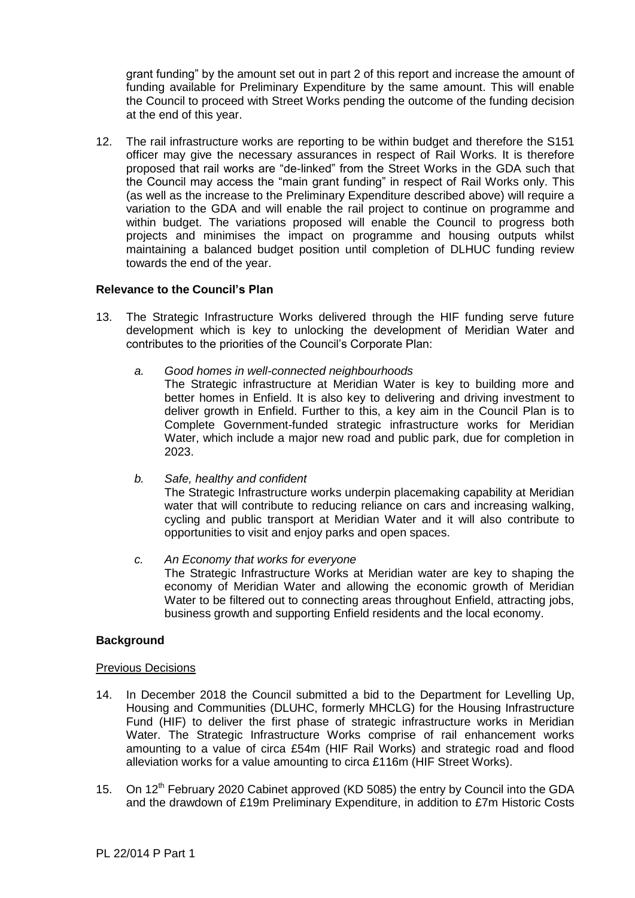grant funding" by the amount set out in part 2 of this report and increase the amount of funding available for Preliminary Expenditure by the same amount. This will enable the Council to proceed with Street Works pending the outcome of the funding decision at the end of this year.

12. The rail infrastructure works are reporting to be within budget and therefore the S151 officer may give the necessary assurances in respect of Rail Works. It is therefore proposed that rail works are "de-linked" from the Street Works in the GDA such that the Council may access the "main grant funding" in respect of Rail Works only. This (as well as the increase to the Preliminary Expenditure described above) will require a variation to the GDA and will enable the rail project to continue on programme and within budget. The variations proposed will enable the Council to progress both projects and minimises the impact on programme and housing outputs whilst maintaining a balanced budget position until completion of DLHUC funding review towards the end of the year.

# **Relevance to the Council's Plan**

- 13. The Strategic Infrastructure Works delivered through the HIF funding serve future development which is key to unlocking the development of Meridian Water and contributes to the priorities of the Council's Corporate Plan:
	- *a. Good homes in well-connected neighbourhoods*
		- The Strategic infrastructure at Meridian Water is key to building more and better homes in Enfield. It is also key to delivering and driving investment to deliver growth in Enfield. Further to this, a key aim in the Council Plan is to Complete Government-funded strategic infrastructure works for Meridian Water, which include a major new road and public park, due for completion in 2023.
	- *b. Safe, healthy and confident*

The Strategic Infrastructure works underpin placemaking capability at Meridian water that will contribute to reducing reliance on cars and increasing walking, cycling and public transport at Meridian Water and it will also contribute to opportunities to visit and enjoy parks and open spaces.

*c. An Economy that works for everyone*  The Strategic Infrastructure Works at Meridian water are key to shaping the economy of Meridian Water and allowing the economic growth of Meridian Water to be filtered out to connecting areas throughout Enfield, attracting jobs, business growth and supporting Enfield residents and the local economy.

### **Background**

### Previous Decisions

- 14. In December 2018 the Council submitted a bid to the Department for Levelling Up, Housing and Communities (DLUHC, formerly MHCLG) for the Housing Infrastructure Fund (HIF) to deliver the first phase of strategic infrastructure works in Meridian Water. The Strategic Infrastructure Works comprise of rail enhancement works amounting to a value of circa £54m (HIF Rail Works) and strategic road and flood alleviation works for a value amounting to circa £116m (HIF Street Works).
- 15. On 12<sup>th</sup> February 2020 Cabinet approved (KD 5085) the entry by Council into the GDA and the drawdown of £19m Preliminary Expenditure, in addition to £7m Historic Costs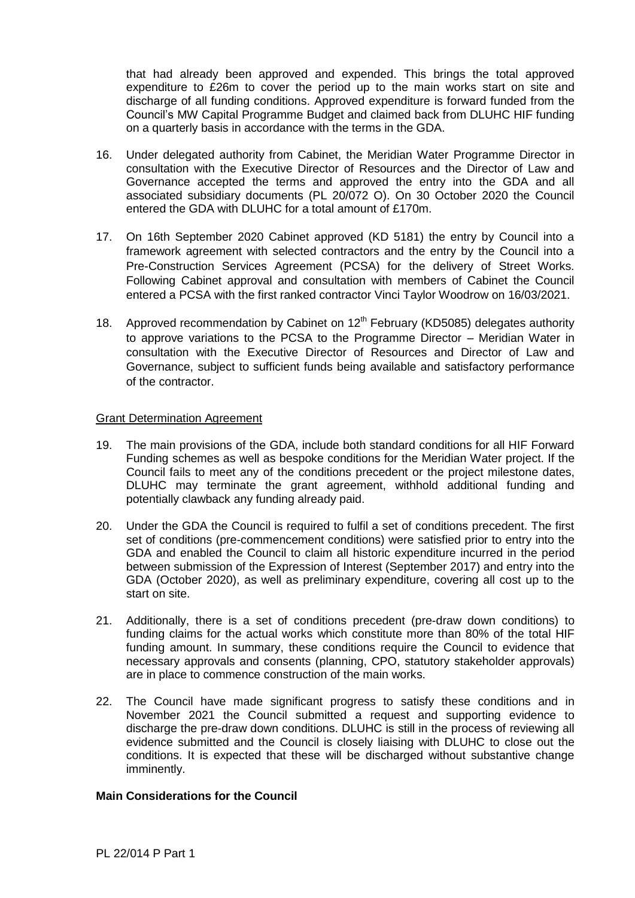that had already been approved and expended. This brings the total approved expenditure to £26m to cover the period up to the main works start on site and discharge of all funding conditions. Approved expenditure is forward funded from the Council's MW Capital Programme Budget and claimed back from DLUHC HIF funding on a quarterly basis in accordance with the terms in the GDA.

- 16. Under delegated authority from Cabinet, the Meridian Water Programme Director in consultation with the Executive Director of Resources and the Director of Law and Governance accepted the terms and approved the entry into the GDA and all associated subsidiary documents (PL 20/072 O). On 30 October 2020 the Council entered the GDA with DLUHC for a total amount of £170m.
- 17. On 16th September 2020 Cabinet approved (KD 5181) the entry by Council into a framework agreement with selected contractors and the entry by the Council into a Pre-Construction Services Agreement (PCSA) for the delivery of Street Works. Following Cabinet approval and consultation with members of Cabinet the Council entered a PCSA with the first ranked contractor Vinci Taylor Woodrow on 16/03/2021.
- 18. Approved recommendation by Cabinet on 12<sup>th</sup> February (KD5085) delegates authority to approve variations to the PCSA to the Programme Director – Meridian Water in consultation with the Executive Director of Resources and Director of Law and Governance, subject to sufficient funds being available and satisfactory performance of the contractor.

## Grant Determination Agreement

- 19. The main provisions of the GDA, include both standard conditions for all HIF Forward Funding schemes as well as bespoke conditions for the Meridian Water project. If the Council fails to meet any of the conditions precedent or the project milestone dates, DLUHC may terminate the grant agreement, withhold additional funding and potentially clawback any funding already paid.
- 20. Under the GDA the Council is required to fulfil a set of conditions precedent. The first set of conditions (pre-commencement conditions) were satisfied prior to entry into the GDA and enabled the Council to claim all historic expenditure incurred in the period between submission of the Expression of Interest (September 2017) and entry into the GDA (October 2020), as well as preliminary expenditure, covering all cost up to the start on site.
- 21. Additionally, there is a set of conditions precedent (pre-draw down conditions) to funding claims for the actual works which constitute more than 80% of the total HIF funding amount. In summary, these conditions require the Council to evidence that necessary approvals and consents (planning, CPO, statutory stakeholder approvals) are in place to commence construction of the main works.
- 22. The Council have made significant progress to satisfy these conditions and in November 2021 the Council submitted a request and supporting evidence to discharge the pre-draw down conditions. DLUHC is still in the process of reviewing all evidence submitted and the Council is closely liaising with DLUHC to close out the conditions. It is expected that these will be discharged without substantive change imminently.

# **Main Considerations for the Council**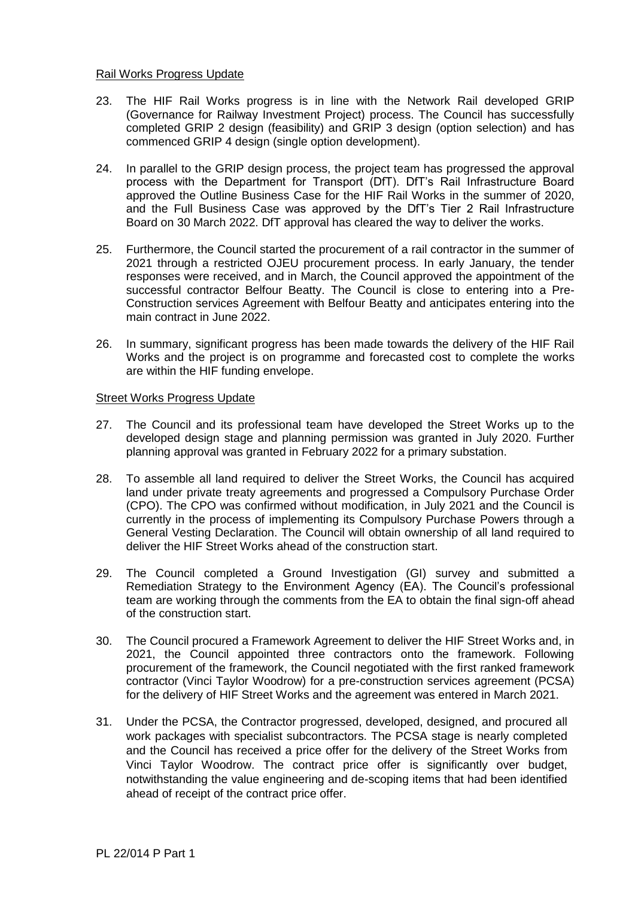## Rail Works Progress Update

- 23. The HIF Rail Works progress is in line with the Network Rail developed GRIP (Governance for Railway Investment Project) process. The Council has successfully completed GRIP 2 design (feasibility) and GRIP 3 design (option selection) and has commenced GRIP 4 design (single option development).
- 24. In parallel to the GRIP design process, the project team has progressed the approval process with the Department for Transport (DfT). DfT's Rail Infrastructure Board approved the Outline Business Case for the HIF Rail Works in the summer of 2020, and the Full Business Case was approved by the DfT's Tier 2 Rail Infrastructure Board on 30 March 2022. DfT approval has cleared the way to deliver the works.
- 25. Furthermore, the Council started the procurement of a rail contractor in the summer of 2021 through a restricted OJEU procurement process. In early January, the tender responses were received, and in March, the Council approved the appointment of the successful contractor Belfour Beatty. The Council is close to entering into a Pre-Construction services Agreement with Belfour Beatty and anticipates entering into the main contract in June 2022.
- 26. In summary, significant progress has been made towards the delivery of the HIF Rail Works and the project is on programme and forecasted cost to complete the works are within the HIF funding envelope.

## Street Works Progress Update

- 27. The Council and its professional team have developed the Street Works up to the developed design stage and planning permission was granted in July 2020. Further planning approval was granted in February 2022 for a primary substation.
- 28. To assemble all land required to deliver the Street Works, the Council has acquired land under private treaty agreements and progressed a Compulsory Purchase Order (CPO). The CPO was confirmed without modification, in July 2021 and the Council is currently in the process of implementing its Compulsory Purchase Powers through a General Vesting Declaration. The Council will obtain ownership of all land required to deliver the HIF Street Works ahead of the construction start.
- 29. The Council completed a Ground Investigation (GI) survey and submitted a Remediation Strategy to the Environment Agency (EA). The Council's professional team are working through the comments from the EA to obtain the final sign-off ahead of the construction start.
- 30. The Council procured a Framework Agreement to deliver the HIF Street Works and, in 2021, the Council appointed three contractors onto the framework. Following procurement of the framework, the Council negotiated with the first ranked framework contractor (Vinci Taylor Woodrow) for a pre-construction services agreement (PCSA) for the delivery of HIF Street Works and the agreement was entered in March 2021.
- 31. Under the PCSA, the Contractor progressed, developed, designed, and procured all work packages with specialist subcontractors. The PCSA stage is nearly completed and the Council has received a price offer for the delivery of the Street Works from Vinci Taylor Woodrow. The contract price offer is significantly over budget, notwithstanding the value engineering and de-scoping items that had been identified ahead of receipt of the contract price offer.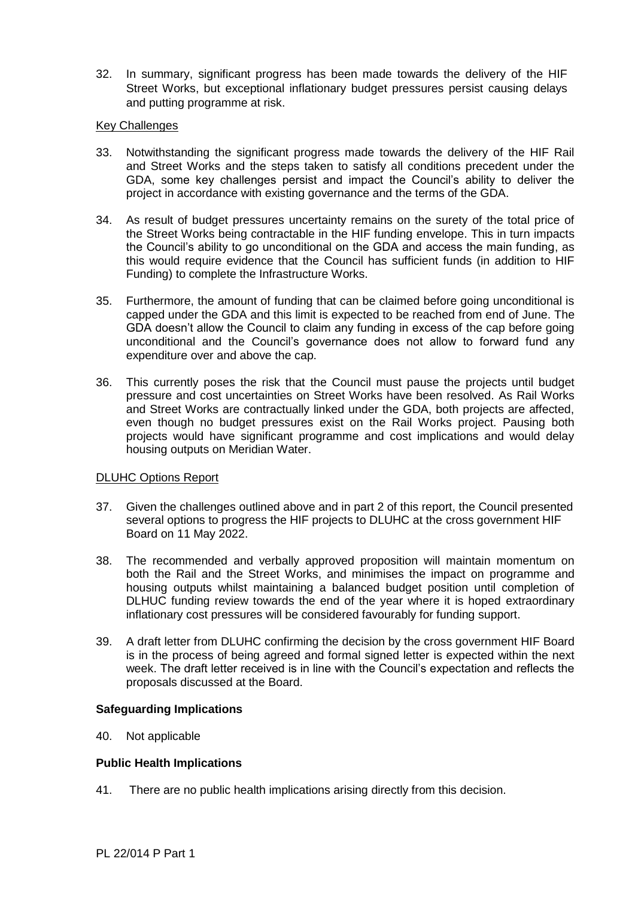32. In summary, significant progress has been made towards the delivery of the HIF Street Works, but exceptional inflationary budget pressures persist causing delays and putting programme at risk.

# Key Challenges

- 33. Notwithstanding the significant progress made towards the delivery of the HIF Rail and Street Works and the steps taken to satisfy all conditions precedent under the GDA, some key challenges persist and impact the Council's ability to deliver the project in accordance with existing governance and the terms of the GDA.
- 34. As result of budget pressures uncertainty remains on the surety of the total price of the Street Works being contractable in the HIF funding envelope. This in turn impacts the Council's ability to go unconditional on the GDA and access the main funding, as this would require evidence that the Council has sufficient funds (in addition to HIF Funding) to complete the Infrastructure Works.
- 35. Furthermore, the amount of funding that can be claimed before going unconditional is capped under the GDA and this limit is expected to be reached from end of June. The GDA doesn't allow the Council to claim any funding in excess of the cap before going unconditional and the Council's governance does not allow to forward fund any expenditure over and above the cap.
- 36. This currently poses the risk that the Council must pause the projects until budget pressure and cost uncertainties on Street Works have been resolved. As Rail Works and Street Works are contractually linked under the GDA, both projects are affected, even though no budget pressures exist on the Rail Works project. Pausing both projects would have significant programme and cost implications and would delay housing outputs on Meridian Water.

# DLUHC Options Report

- 37. Given the challenges outlined above and in part 2 of this report, the Council presented several options to progress the HIF projects to DLUHC at the cross government HIF Board on 11 May 2022.
- 38. The recommended and verbally approved proposition will maintain momentum on both the Rail and the Street Works, and minimises the impact on programme and housing outputs whilst maintaining a balanced budget position until completion of DLHUC funding review towards the end of the year where it is hoped extraordinary inflationary cost pressures will be considered favourably for funding support.
- 39. A draft letter from DLUHC confirming the decision by the cross government HIF Board is in the process of being agreed and formal signed letter is expected within the next week. The draft letter received is in line with the Council's expectation and reflects the proposals discussed at the Board.

### **Safeguarding Implications**

40. Not applicable

# **Public Health Implications**

41. There are no public health implications arising directly from this decision.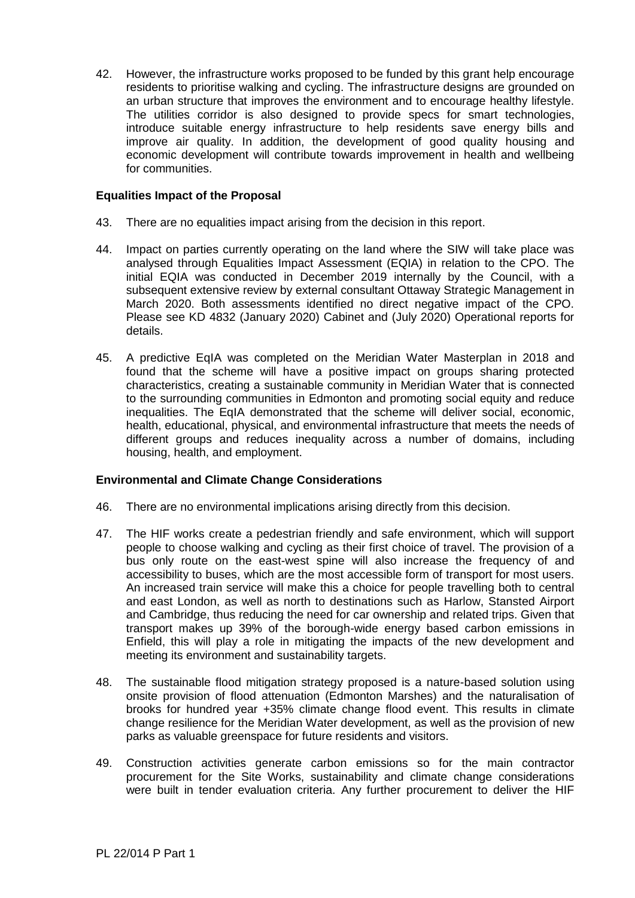42. However, the infrastructure works proposed to be funded by this grant help encourage residents to prioritise walking and cycling. The infrastructure designs are grounded on an urban structure that improves the environment and to encourage healthy lifestyle. The utilities corridor is also designed to provide specs for smart technologies, introduce suitable energy infrastructure to help residents save energy bills and improve air quality. In addition, the development of good quality housing and economic development will contribute towards improvement in health and wellbeing for communities.

### **Equalities Impact of the Proposal**

- 43. There are no equalities impact arising from the decision in this report.
- 44. Impact on parties currently operating on the land where the SIW will take place was analysed through Equalities Impact Assessment (EQIA) in relation to the CPO. The initial EQIA was conducted in December 2019 internally by the Council, with a subsequent extensive review by external consultant Ottaway Strategic Management in March 2020. Both assessments identified no direct negative impact of the CPO. Please see KD 4832 (January 2020) Cabinet and (July 2020) Operational reports for details.
- 45. A predictive EqIA was completed on the Meridian Water Masterplan in 2018 and found that the scheme will have a positive impact on groups sharing protected characteristics, creating a sustainable community in Meridian Water that is connected to the surrounding communities in Edmonton and promoting social equity and reduce inequalities. The EqIA demonstrated that the scheme will deliver social, economic, health, educational, physical, and environmental infrastructure that meets the needs of different groups and reduces inequality across a number of domains, including housing, health, and employment.

# **Environmental and Climate Change Considerations**

- 46. There are no environmental implications arising directly from this decision.
- 47. The HIF works create a pedestrian friendly and safe environment, which will support people to choose walking and cycling as their first choice of travel. The provision of a bus only route on the east-west spine will also increase the frequency of and accessibility to buses, which are the most accessible form of transport for most users. An increased train service will make this a choice for people travelling both to central and east London, as well as north to destinations such as Harlow, Stansted Airport and Cambridge, thus reducing the need for car ownership and related trips. Given that transport makes up 39% of the borough-wide energy based carbon emissions in Enfield, this will play a role in mitigating the impacts of the new development and meeting its environment and sustainability targets.
- 48. The sustainable flood mitigation strategy proposed is a nature-based solution using onsite provision of flood attenuation (Edmonton Marshes) and the naturalisation of brooks for hundred year +35% climate change flood event. This results in climate change resilience for the Meridian Water development, as well as the provision of new parks as valuable greenspace for future residents and visitors.
- 49. Construction activities generate carbon emissions so for the main contractor procurement for the Site Works, sustainability and climate change considerations were built in tender evaluation criteria. Any further procurement to deliver the HIF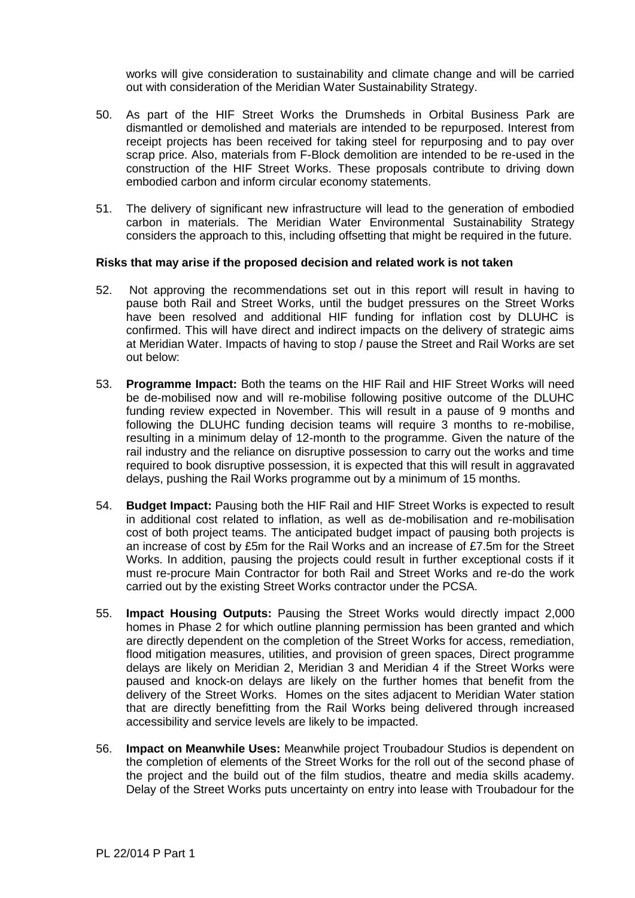works will give consideration to sustainability and climate change and will be carried out with consideration of the Meridian Water Sustainability Strategy.

- 50. As part of the HIF Street Works the Drumsheds in Orbital Business Park are dismantled or demolished and materials are intended to be repurposed. Interest from receipt projects has been received for taking steel for repurposing and to pay over scrap price. Also, materials from F-Block demolition are intended to be re-used in the construction of the HIF Street Works. These proposals contribute to driving down embodied carbon and inform circular economy statements.
- 51. The delivery of significant new infrastructure will lead to the generation of embodied carbon in materials. The Meridian Water Environmental Sustainability Strategy considers the approach to this, including offsetting that might be required in the future.

### **Risks that may arise if the proposed decision and related work is not taken**

- 52. Not approving the recommendations set out in this report will result in having to pause both Rail and Street Works, until the budget pressures on the Street Works have been resolved and additional HIF funding for inflation cost by DLUHC is confirmed. This will have direct and indirect impacts on the delivery of strategic aims at Meridian Water. Impacts of having to stop / pause the Street and Rail Works are set out below:
- 53. **Programme Impact:** Both the teams on the HIF Rail and HIF Street Works will need be de-mobilised now and will re-mobilise following positive outcome of the DLUHC funding review expected in November. This will result in a pause of 9 months and following the DLUHC funding decision teams will require 3 months to re-mobilise, resulting in a minimum delay of 12-month to the programme. Given the nature of the rail industry and the reliance on disruptive possession to carry out the works and time required to book disruptive possession, it is expected that this will result in aggravated delays, pushing the Rail Works programme out by a minimum of 15 months.
- 54. **Budget Impact:** Pausing both the HIF Rail and HIF Street Works is expected to result in additional cost related to inflation, as well as de-mobilisation and re-mobilisation cost of both project teams. The anticipated budget impact of pausing both projects is an increase of cost by £5m for the Rail Works and an increase of £7.5m for the Street Works. In addition, pausing the projects could result in further exceptional costs if it must re-procure Main Contractor for both Rail and Street Works and re-do the work carried out by the existing Street Works contractor under the PCSA.
- 55. **Impact Housing Outputs:** Pausing the Street Works would directly impact 2,000 homes in Phase 2 for which outline planning permission has been granted and which are directly dependent on the completion of the Street Works for access, remediation, flood mitigation measures, utilities, and provision of green spaces, Direct programme delays are likely on Meridian 2, Meridian 3 and Meridian 4 if the Street Works were paused and knock-on delays are likely on the further homes that benefit from the delivery of the Street Works. Homes on the sites adjacent to Meridian Water station that are directly benefitting from the Rail Works being delivered through increased accessibility and service levels are likely to be impacted.
- 56. **Impact on Meanwhile Uses:** Meanwhile project Troubadour Studios is dependent on the completion of elements of the Street Works for the roll out of the second phase of the project and the build out of the film studios, theatre and media skills academy. Delay of the Street Works puts uncertainty on entry into lease with Troubadour for the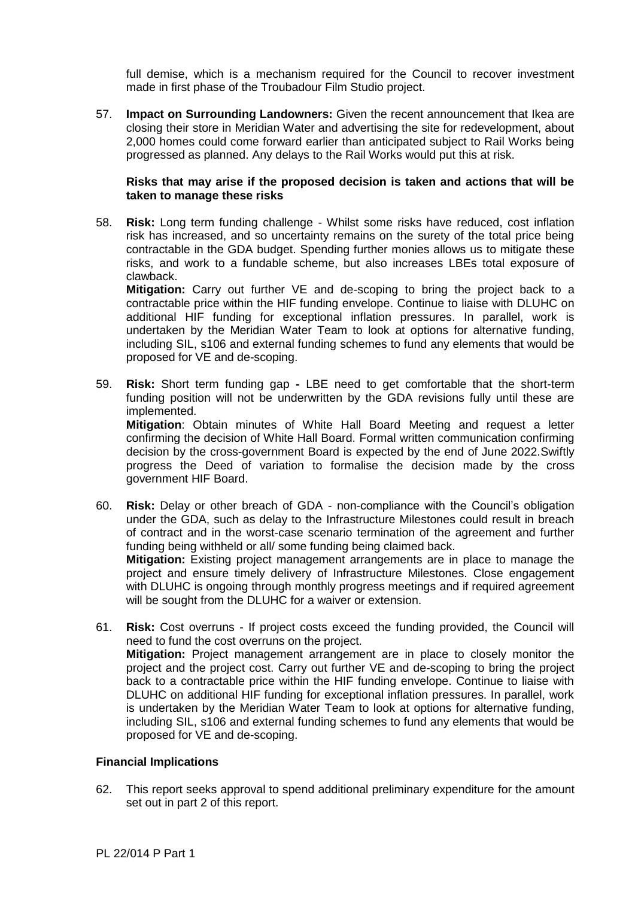full demise, which is a mechanism required for the Council to recover investment made in first phase of the Troubadour Film Studio project.

57. **Impact on Surrounding Landowners:** Given the recent announcement that Ikea are closing their store in Meridian Water and advertising the site for redevelopment, about 2,000 homes could come forward earlier than anticipated subject to Rail Works being progressed as planned. Any delays to the Rail Works would put this at risk.

## **Risks that may arise if the proposed decision is taken and actions that will be taken to manage these risks**

58. **Risk:** Long term funding challenge - Whilst some risks have reduced, cost inflation risk has increased, and so uncertainty remains on the surety of the total price being contractable in the GDA budget. Spending further monies allows us to mitigate these risks, and work to a fundable scheme, but also increases LBEs total exposure of clawback.

**Mitigation:** Carry out further VE and de-scoping to bring the project back to a contractable price within the HIF funding envelope. Continue to liaise with DLUHC on additional HIF funding for exceptional inflation pressures. In parallel, work is undertaken by the Meridian Water Team to look at options for alternative funding, including SIL, s106 and external funding schemes to fund any elements that would be proposed for VE and de-scoping.

- 59. **Risk:** Short term funding gap **-** LBE need to get comfortable that the short-term funding position will not be underwritten by the GDA revisions fully until these are implemented. **Mitigation**: Obtain minutes of White Hall Board Meeting and request a letter confirming the decision of White Hall Board. Formal written communication confirming decision by the cross-government Board is expected by the end of June 2022.Swiftly progress the Deed of variation to formalise the decision made by the cross government HIF Board.
- 60. **Risk:** Delay or other breach of GDA non-compliance with the Council's obligation under the GDA, such as delay to the Infrastructure Milestones could result in breach of contract and in the worst-case scenario termination of the agreement and further funding being withheld or all/ some funding being claimed back. **Mitigation:** Existing project management arrangements are in place to manage the project and ensure timely delivery of Infrastructure Milestones. Close engagement with DLUHC is ongoing through monthly progress meetings and if required agreement will be sought from the DLUHC for a waiver or extension.
- 61. **Risk:** Cost overruns If project costs exceed the funding provided, the Council will need to fund the cost overruns on the project. **Mitigation:** Project management arrangement are in place to closely monitor the project and the project cost. Carry out further VE and de-scoping to bring the project back to a contractable price within the HIF funding envelope. Continue to liaise with DLUHC on additional HIF funding for exceptional inflation pressures. In parallel, work is undertaken by the Meridian Water Team to look at options for alternative funding, including SIL, s106 and external funding schemes to fund any elements that would be proposed for VE and de-scoping.

# **Financial Implications**

62. This report seeks approval to spend additional preliminary expenditure for the amount set out in part 2 of this report.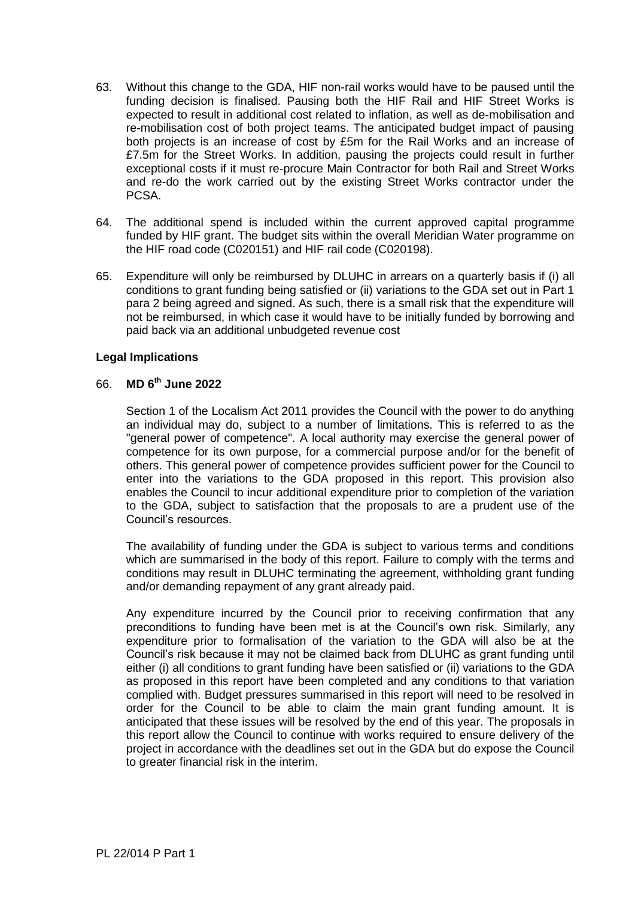- 63. Without this change to the GDA, HIF non-rail works would have to be paused until the funding decision is finalised. Pausing both the HIF Rail and HIF Street Works is expected to result in additional cost related to inflation, as well as de-mobilisation and re-mobilisation cost of both project teams. The anticipated budget impact of pausing both projects is an increase of cost by £5m for the Rail Works and an increase of £7.5m for the Street Works. In addition, pausing the projects could result in further exceptional costs if it must re-procure Main Contractor for both Rail and Street Works and re-do the work carried out by the existing Street Works contractor under the PCSA.
- 64. The additional spend is included within the current approved capital programme funded by HIF grant. The budget sits within the overall Meridian Water programme on the HIF road code (C020151) and HIF rail code (C020198).
- 65. Expenditure will only be reimbursed by DLUHC in arrears on a quarterly basis if (i) all conditions to grant funding being satisfied or (ii) variations to the GDA set out in Part 1 para 2 being agreed and signed. As such, there is a small risk that the expenditure will not be reimbursed, in which case it would have to be initially funded by borrowing and paid back via an additional unbudgeted revenue cost

## **Legal Implications**

## 66. **MD 6 th June 2022**

Section 1 of the Localism Act 2011 provides the Council with the power to do anything an individual may do, subject to a number of limitations. This is referred to as the "general power of competence". A local authority may exercise the general power of competence for its own purpose, for a commercial purpose and/or for the benefit of others. This general power of competence provides sufficient power for the Council to enter into the variations to the GDA proposed in this report. This provision also enables the Council to incur additional expenditure prior to completion of the variation to the GDA, subject to satisfaction that the proposals to are a prudent use of the Council's resources.

The availability of funding under the GDA is subject to various terms and conditions which are summarised in the body of this report. Failure to comply with the terms and conditions may result in DLUHC terminating the agreement, withholding grant funding and/or demanding repayment of any grant already paid.

Any expenditure incurred by the Council prior to receiving confirmation that any preconditions to funding have been met is at the Council's own risk. Similarly, any expenditure prior to formalisation of the variation to the GDA will also be at the Council's risk because it may not be claimed back from DLUHC as grant funding until either (i) all conditions to grant funding have been satisfied or (ii) variations to the GDA as proposed in this report have been completed and any conditions to that variation complied with. Budget pressures summarised in this report will need to be resolved in order for the Council to be able to claim the main grant funding amount. It is anticipated that these issues will be resolved by the end of this year. The proposals in this report allow the Council to continue with works required to ensure delivery of the project in accordance with the deadlines set out in the GDA but do expose the Council to greater financial risk in the interim.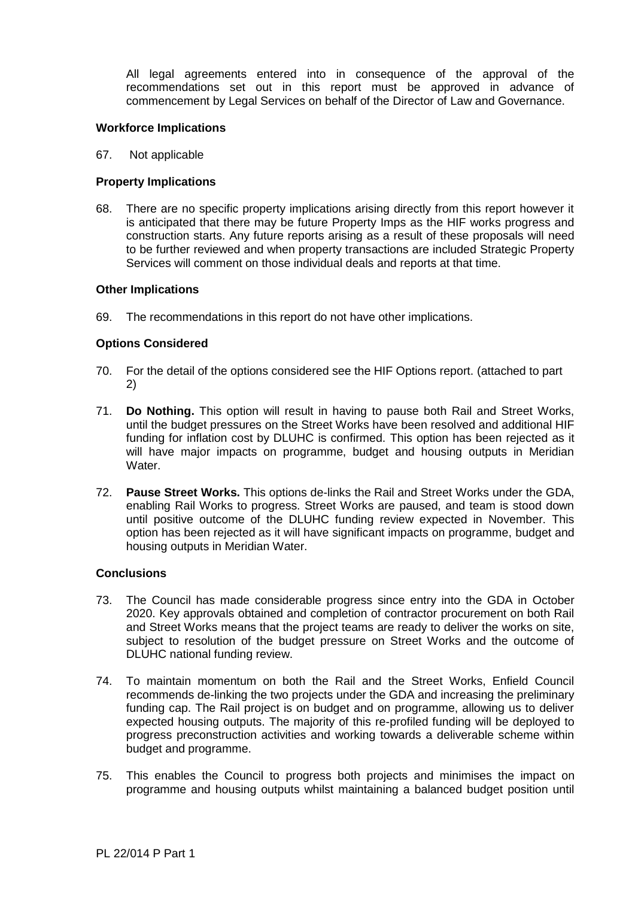All legal agreements entered into in consequence of the approval of the recommendations set out in this report must be approved in advance of commencement by Legal Services on behalf of the Director of Law and Governance.

## **Workforce Implications**

67. Not applicable

# **Property Implications**

68. There are no specific property implications arising directly from this report however it is anticipated that there may be future Property Imps as the HIF works progress and construction starts. Any future reports arising as a result of these proposals will need to be further reviewed and when property transactions are included Strategic Property Services will comment on those individual deals and reports at that time.

## **Other Implications**

69. The recommendations in this report do not have other implications.

# **Options Considered**

- 70. For the detail of the options considered see the HIF Options report. (attached to part 2)
- 71. **Do Nothing.** This option will result in having to pause both Rail and Street Works, until the budget pressures on the Street Works have been resolved and additional HIF funding for inflation cost by DLUHC is confirmed. This option has been rejected as it will have major impacts on programme, budget and housing outputs in Meridian Water.
- 72. **Pause Street Works.** This options de-links the Rail and Street Works under the GDA, enabling Rail Works to progress. Street Works are paused, and team is stood down until positive outcome of the DLUHC funding review expected in November. This option has been rejected as it will have significant impacts on programme, budget and housing outputs in Meridian Water.

### **Conclusions**

- 73. The Council has made considerable progress since entry into the GDA in October 2020. Key approvals obtained and completion of contractor procurement on both Rail and Street Works means that the project teams are ready to deliver the works on site, subject to resolution of the budget pressure on Street Works and the outcome of DLUHC national funding review.
- 74. To maintain momentum on both the Rail and the Street Works, Enfield Council recommends de-linking the two projects under the GDA and increasing the preliminary funding cap. The Rail project is on budget and on programme, allowing us to deliver expected housing outputs. The majority of this re-profiled funding will be deployed to progress preconstruction activities and working towards a deliverable scheme within budget and programme.
- 75. This enables the Council to progress both projects and minimises the impact on programme and housing outputs whilst maintaining a balanced budget position until